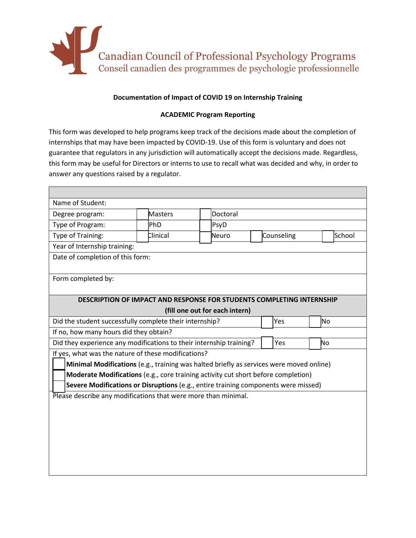

## **Documentation of Impact of COVID 19 on Internship Training**

## **ACADEMIC Program Reporting**

This form was developed to help programs keep track of the decisions made about the completion of internships that may have been impacted by COVID-19. Use of this form is voluntary and does not guarantee that regulators in any jurisdiction will automatically accept the decisions made. Regardless, this form may be useful for Directors or interns to use to recall what was decided and why, in order to answer any questions raised by a regulator.

| Name of Student:                                                                        |          |  |          |  |            |  |        |  |
|-----------------------------------------------------------------------------------------|----------|--|----------|--|------------|--|--------|--|
| Degree program:                                                                         | Masters  |  | Doctoral |  |            |  |        |  |
| Type of Program:                                                                        | PhD      |  | PsyD     |  |            |  |        |  |
| Type of Training:                                                                       | Clinical |  | Neuro    |  | Counseling |  | School |  |
| Year of Internship training:                                                            |          |  |          |  |            |  |        |  |
| Date of completion of this form:                                                        |          |  |          |  |            |  |        |  |
|                                                                                         |          |  |          |  |            |  |        |  |
| Form completed by:                                                                      |          |  |          |  |            |  |        |  |
|                                                                                         |          |  |          |  |            |  |        |  |
| <b>DESCRIPTION OF IMPACT AND RESPONSE FOR STUDENTS COMPLETING INTERNSHIP</b>            |          |  |          |  |            |  |        |  |
| (fill one out for each intern)                                                          |          |  |          |  |            |  |        |  |
| Did the student successfully complete their internship?                                 |          |  |          |  | Yes        |  | lNo    |  |
| If no, how many hours did they obtain?                                                  |          |  |          |  |            |  |        |  |
| Did they experience any modifications to their internship training?                     |          |  |          |  | Yes        |  | No     |  |
| If yes, what was the nature of these modifications?                                     |          |  |          |  |            |  |        |  |
| Minimal Modifications (e.g., training was halted briefly as services were moved online) |          |  |          |  |            |  |        |  |
| Moderate Modifications (e.g., core training activity cut short before completion)       |          |  |          |  |            |  |        |  |
| Severe Modifications or Disruptions (e.g., entire training components were missed)      |          |  |          |  |            |  |        |  |
| Please describe any modifications that were more than minimal.                          |          |  |          |  |            |  |        |  |
|                                                                                         |          |  |          |  |            |  |        |  |
|                                                                                         |          |  |          |  |            |  |        |  |
|                                                                                         |          |  |          |  |            |  |        |  |
|                                                                                         |          |  |          |  |            |  |        |  |
|                                                                                         |          |  |          |  |            |  |        |  |
|                                                                                         |          |  |          |  |            |  |        |  |
|                                                                                         |          |  |          |  |            |  |        |  |